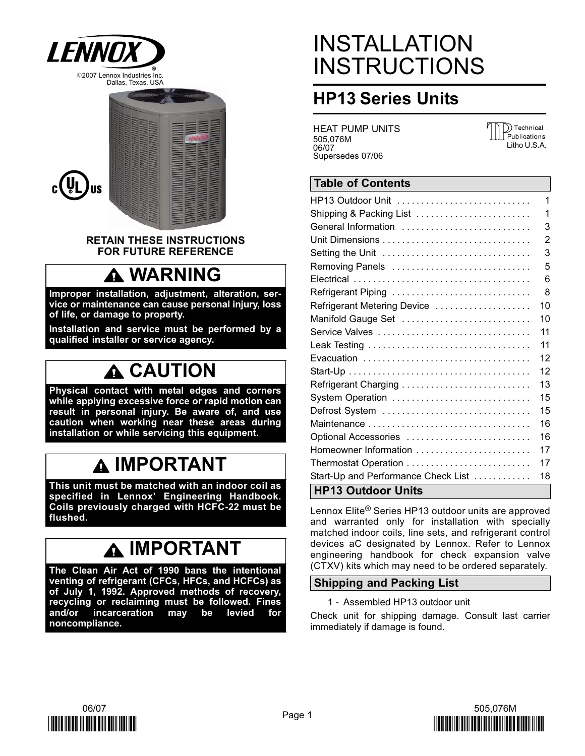



RETAIN THESE INSTRUCTIONS FOR FUTURE REFERENCE

## WARNING

Improper installation, adjustment, alteration, service or maintenance can cause personal injury, loss of life, or damage to property.

Installation and service must be performed by a qualified installer or service agency.

## **A CAUTION**

Physical contact with metal edges and corners while applying excessive force or rapid motion can result in personal injury. Be aware of, and use caution when working near these areas during installation or while servicing this equipment.

### IMPORTANT

This unit must be matched with an indoor coil as specified in Lennox' Engineering Handbook. Coils previously charged with HCFC−22 must be flushed.

## IMPORTANT

The Clean Air Act of 1990 bans the intentional venting of refrigerant (CFCs, HFCs, and HCFCs) as of July 1, 1992. Approved methods of recovery, recycling or reclaiming must be followed. Fines and/or incarceration may be levied for noncompliance.

# INSTALLATION **INSTRUCTIONS**

### HP13 Series Units

HEAT PUMP UNITS 505,076M 06/07 Supersedes 07/06

)) Technical Publications Litho U.S.A.

### Table of Contents

| HP13 Outdoor Unit                   | 1  |
|-------------------------------------|----|
| Shipping & Packing List             | 1  |
| General Information                 | 3  |
|                                     | 2  |
| Setting the Unit                    | 3  |
| Removing Panels                     | 5  |
|                                     | 6  |
| Refrigerant Piping                  | 8  |
| Refrigerant Metering Device         | 10 |
| Manifold Gauge Set                  | 10 |
| Service Valves                      | 11 |
|                                     | 11 |
|                                     | 12 |
|                                     | 12 |
|                                     | 13 |
| System Operation                    | 15 |
| Defrost System                      | 15 |
|                                     | 16 |
| Optional Accessories                | 16 |
| Homeowner Information               | 17 |
|                                     | 17 |
| Start-Up and Performance Check List | 18 |
| LUD12 Outdoor Linite                |    |

### HP13 Outdoor Units

Lennox Elite® Series HP13 outdoor units are approved and warranted only for installation with specially matched indoor coils, line sets, and refrigerant control devices aC designated by Lennox. Refer to Lennox engineering handbook for check expansion valve (CTXV) kits which may need to be ordered separately.

### Shipping and Packing List

1 − Assembled HP13 outdoor unit

Check unit for shipping damage. Consult last carrier immediately if damage is found.



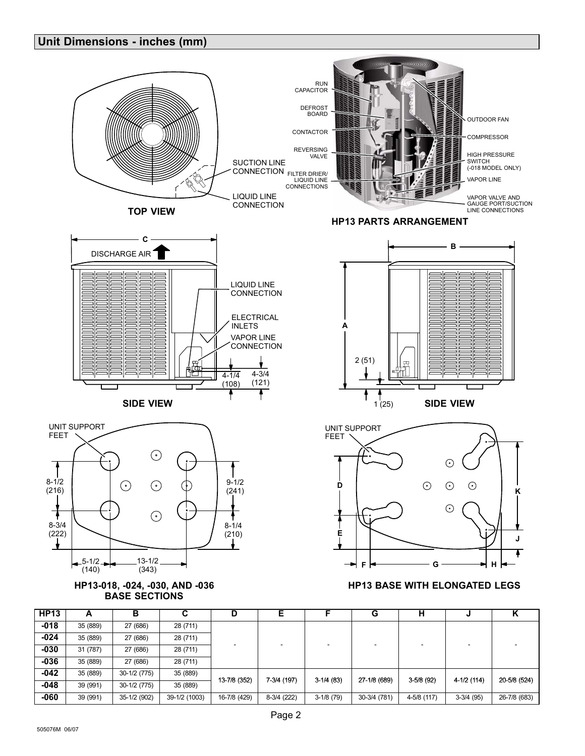| <b>HP13</b> | A        | в            | ◠<br>v        | D                           | Е           | Е           | G            | н            | м            | v<br>n       |  |  |  |  |  |  |  |  |
|-------------|----------|--------------|---------------|-----------------------------|-------------|-------------|--------------|--------------|--------------|--------------|--|--|--|--|--|--|--|--|
| $-018$      | 35 (889) | 27 (686)     | 28 (711)      |                             |             |             |              |              |              |              |  |  |  |  |  |  |  |  |
| $-024$      | 35 (889) | 27 (686)     | 28 (711)      |                             |             |             |              |              |              |              |  |  |  |  |  |  |  |  |
| $-030$      | 31 (787) | 27 (686)     | 28 (711)      |                             |             |             |              |              |              |              |  |  |  |  |  |  |  |  |
| $-036$      | 35 (889) | 27 (686)     | 28 (711)      |                             |             |             |              |              |              |              |  |  |  |  |  |  |  |  |
| $-042$      | 35 (889) | 30-1/2 (775) | 35 (889)      | 13-7/8 (352)<br>7-3/4 (197) |             | $3-1/4(83)$ | 27-1/8 (689) | $3-5/8$ (92) | $4-1/2(114)$ | 20-5/8 (524) |  |  |  |  |  |  |  |  |
| $-048$      | 39 (991) | 30-1/2 (775) | 35 (889)      |                             |             |             |              |              |              |              |  |  |  |  |  |  |  |  |
| $-060$      | 39 (991) | 35-1/2 (902) | 39-1/2 (1003) | 16-7/8 (429)                | 8-3/4 (222) | $3-1/8(79)$ | 30-3/4 (781) | 4-5/8 (117)  | $3-3/4$ (95) | 26-7/8 (683) |  |  |  |  |  |  |  |  |
|             |          |              |               |                             |             |             |              |              |              |              |  |  |  |  |  |  |  |  |







<span id="page-1-0"></span>Unit Dimensions − inches (mm)

### HP13 BASE WITH ELONGATED LEGS





### HP13 PARTS ARRANGEMENT

RUN CAPACITOR DEFROST BOARD CONTACTOR REVERSING VALVE CONNECTION <sub>FILTER DRIER/</sub> LIQUID LINE CONNECTIONS OUTDOOR FAN COMPRESSOR HIGH PRESSURE<br>SWITCH<br>(−018 MODEL ONLY) VAPOR LINE VAPOR VALVE AND GAUGE PORT/SUCTION LINE CONNECTIONS SUCTION LINE LIQUID LINE **CONNECTION**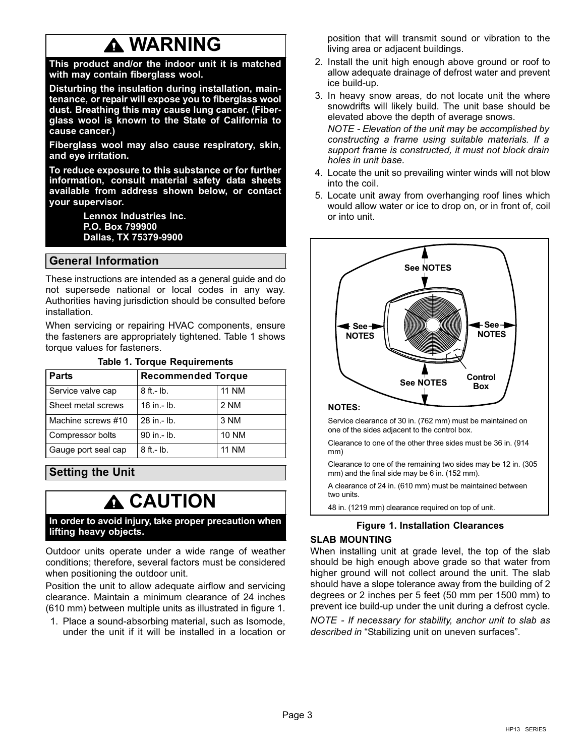## WARNING

<span id="page-2-0"></span>This product and/or the indoor unit it is matched with may contain fiberglass wool.

Disturbing the insulation during installation, maintenance, or repair will expose you to fiberglass wool dust. Breathing this may cause lung cancer. (Fiberglass wool is known to the State of California to cause cancer.)

Fiberglass wool may also cause respiratory, skin, and eye irritation.

To reduce exposure to this substance or for further information, consult material safety data sheets available from address shown below, or contact your supervisor.

> Lennox Industries Inc. P.O. Box 799900 Dallas, TX 75379−9900

### General Information

These instructions are intended as a general guide and do not supersede national or local codes in any way. Authorities having jurisdiction should be consulted before installation.

When servicing or repairing HVAC components, ensure the fasteners are appropriately tightened. Table 1 shows torque values for fasteners.

| <b>Parts</b>        | <b>Recommended Torque</b> |              |  |  |  |  |
|---------------------|---------------------------|--------------|--|--|--|--|
| Service valve cap   | $8$ ft.- lb.              | <b>11 NM</b> |  |  |  |  |
| Sheet metal screws  | 16 in .- lb.              | 2 NM         |  |  |  |  |
| Machine screws #10  | 28 in - lb.               | 3 NM         |  |  |  |  |
| Compressor bolts    | 90 in .- lb.              | <b>10 NM</b> |  |  |  |  |
| Gauge port seal cap | 8 ft.- lb.                | <b>11 NM</b> |  |  |  |  |

#### Table 1. Torque Requirements

### Setting the Unit

### **A CAUTION**

In order to avoid injury, take proper precaution when lifting heavy objects.

Outdoor units operate under a wide range of weather conditions; therefore, several factors must be considered when positioning the outdoor unit.

Position the unit to allow adequate airflow and servicing clearance. Maintain a minimum clearance of 24 inches (610 mm) between multiple units as illustrated in figure 1.

1. Place a sound-absorbing material, such as Isomode, under the unit if it will be installed in a location or position that will transmit sound or vibration to the living area or adjacent buildings.

- 2. Install the unit high enough above ground or roof to allow adequate drainage of defrost water and prevent ice build-up.
- 3. In heavy snow areas, do not locate unit the where snowdrifts will likely build. The unit base should be elevated above the depth of average snows.

NOTE - Elevation of the unit may be accomplished by constructing a frame using suitable materials. If a support frame is constructed, it must not block drain holes in unit base.

- 4. Locate the unit so prevailing winter winds will not blow into the coil.
- 5. Locate unit away from overhanging roof lines which would allow water or ice to drop on, or in front of, coil or into unit.



#### ÍÍÍÍÍÍÍÍÍÍÍÍÍÍ NOTES:

Service clearance of 30 in. (762 mm) must be maintained on one of the sides adjacent to the control box.

Clearance to one of the other three sides must be 36 in. (914 mm)

Clearance to one of the remaining two sides may be 12 in. (305 mm) and the final side may be 6 in. (152 mm).

A clearance of 24 in. (610 mm) must be maintained between two units.

48 in. (1219 mm) clearance required on top of unit.

### Figure 1. Installation Clearances

### SLAB MOUNTING

When installing unit at grade level, the top of the slab should be high enough above grade so that water from higher ground will not collect around the unit. The slab should have a slope tolerance away from the building of 2 degrees or 2 inches per 5 feet (50 mm per 1500 mm) to prevent ice build-up under the unit during a defrost cycle.

NOTE − If necessary for stability, anchor unit to slab as described in "Stabilizing unit on uneven surfaces".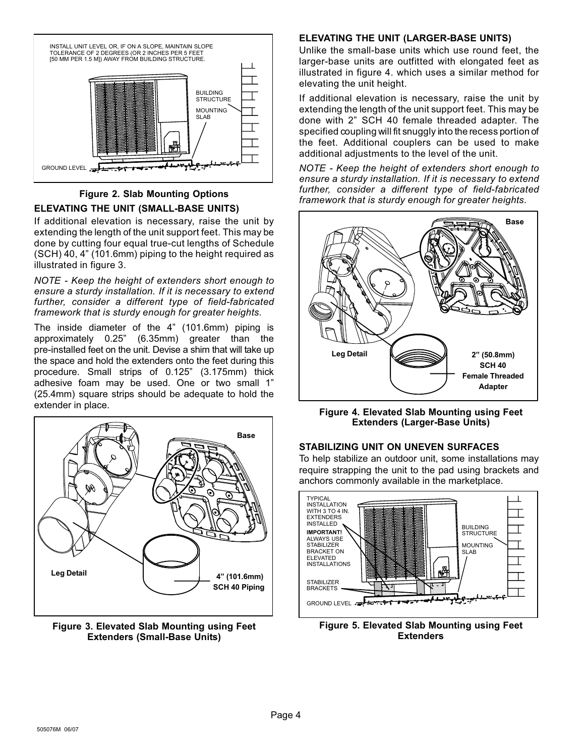

### Figure 2. Slab Mounting Options ELEVATING THE UNIT (SMALL−BASE UNITS)

If additional elevation is necessary, raise the unit by extending the length of the unit support feet. This may be done by cutting four equal true−cut lengths of Schedule (SCH) 40, 4" (101.6mm) piping to the height required as illustrated in figure 3.

NOTE − Keep the height of extenders short enough to ensure a sturdy installation. If it is necessary to extend further, consider a different type of field−fabricated framework that is sturdy enough for greater heights.

The inside diameter of the 4" (101.6mm) piping is approximately 0.25" (6.35mm) greater than the pre−installed feet on the unit. Devise a shim that will take up the space and hold the extenders onto the feet during this procedure. Small strips of 0.125" (3.175mm) thick adhesive foam may be used. One or two small 1" (25.4mm) square strips should be adequate to hold the extender in place.



Figure 3. Elevated Slab Mounting using Feet Extenders (Small−Base Units)

### ELEVATING THE UNIT (LARGER−BASE UNITS)

Unlike the small−base units which use round feet, the larger−base units are outfitted with elongated feet as illustrated in figure 4. which uses a similar method for elevating the unit height.

If additional elevation is necessary, raise the unit by extending the length of the unit support feet. This may be done with 2" SCH 40 female threaded adapter. The specified coupling will fit snuggly into the recess portion of the feet. Additional couplers can be used to make additional adjustments to the level of the unit.

NOTE − Keep the height of extenders short enough to ensure a sturdy installation. If it is necessary to extend further, consider a different type of field−fabricated framework that is sturdy enough for greater heights.



Figure 4. Elevated Slab Mounting using Feet Extenders (Larger−Base Units)

### STABILIZING UNIT ON UNEVEN SURFACES

To help stabilize an outdoor unit, some installations may require strapping the unit to the pad using brackets and anchors commonly available in the marketplace.



Figure 5. Elevated Slab Mounting using Feet **Extenders**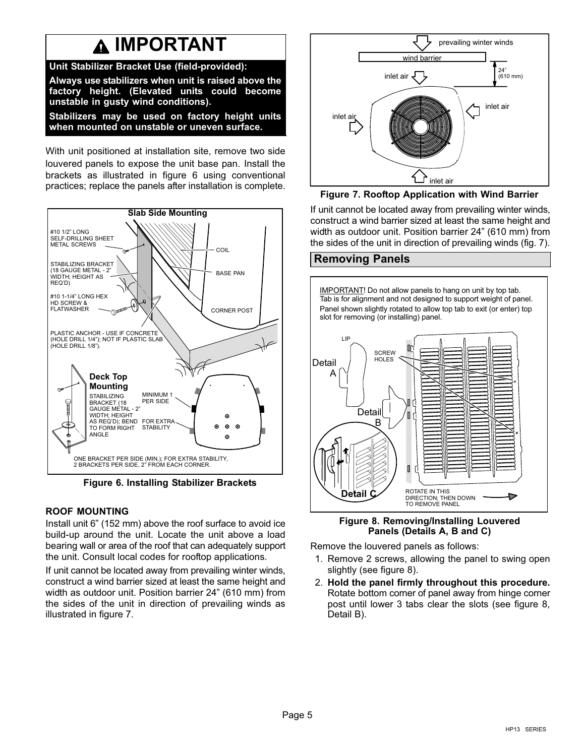### **A IMPORTANT**

<span id="page-4-0"></span>Unit Stabilizer Bracket Use (field−provided): Always use stabilizers when unit is raised above the factory height. (Elevated units could become unstable in gusty wind conditions).

Stabilizers may be used on factory height units when mounted on unstable or uneven surface.

With unit positioned at installation site, remove two side louvered panels to expose the unit base pan. Install the brackets as illustrated in figure 6 using conventional practices; replace the panels after installation is complete.



Figure 6. Installing Stabilizer Brackets

### ROOF MOUNTING

Install unit 6" (152 mm) above the roof surface to avoid ice build−up around the unit. Locate the unit above a load bearing wall or area of the roof that can adequately support the unit. Consult local codes for rooftop applications.

If unit cannot be located away from prevailing winter winds, construct a wind barrier sized at least the same height and width as outdoor unit. Position barrier 24" (610 mm) from the sides of the unit in direction of prevailing winds as illustrated in figure 7.



Figure 7. Rooftop Application with Wind Barrier

If unit cannot be located away from prevailing winter winds, construct a wind barrier sized at least the same height and width as outdoor unit. Position barrier 24" (610 mm) from the sides of the unit in direction of prevailing winds (fig. 7).

### Removing Panels

IMPORTANT! Do not allow panels to hang on unit by top tab. Tab is for alignment and not designed to support weight of panel. Panel shown slightly rotated to allow top tab to exit (or enter) top slot for removing (or installing) panel.



Figure 8. Removing/Installing Louvered Panels (Details A, B and C)

Remove the louvered panels as follows:

- 1. Remove 2 screws, allowing the panel to swing open slightly (see figure 8).
- 2. Hold the panel firmly throughout this procedure. Rotate bottom corner of panel away from hinge corner post until lower 3 tabs clear the slots (see figure 8, Detail B).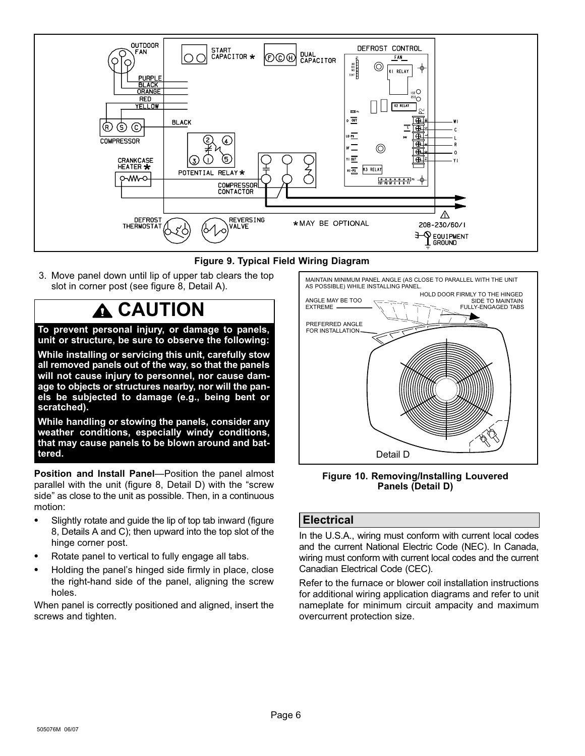<span id="page-5-0"></span>

Figure 9. Typical Field Wiring Diagram

3. Move panel down until lip of upper tab clears the top slot in corner post (see figure [8,](#page-4-0) Detail A).

### CAUTION

To prevent personal injury, or damage to panels, unit or structure, be sure to observe the following:

While installing or servicing this unit, carefully stow all removed panels out of the way, so that the panels will not cause injury to personnel, nor cause damage to objects or structures nearby, nor will the panels be subjected to damage (e.g., being bent or scratched).

While handling or stowing the panels, consider any weather conditions, especially windy conditions, that may cause panels to be blown around and battered.

Position and Install Panel-Position the panel almost parallel with the unit (figure [8](#page-4-0), Detail D) with the "screw side" as close to the unit as possible. Then, in a continuous motion:

- Slightly rotate and guide the lip of top tab inward (figure [8](#page-4-0), Details A and C); then upward into the top slot of the hinge corner post.
- Rotate panel to vertical to fully engage all tabs.
- Holding the panel's hinged side firmly in place, close the right−hand side of the panel, aligning the screw holes.

When panel is correctly positioned and aligned, insert the screws and tighten.



Figure 10. Removing/Installing Louvered Panels (Detail D)

### **Electrical**

In the U.S.A., wiring must conform with current local codes and the current National Electric Code (NEC). In Canada, wiring must conform with current local codes and the current Canadian Electrical Code (CEC).

Refer to the furnace or blower coil installation instructions for additional wiring application diagrams and refer to unit nameplate for minimum circuit ampacity and maximum overcurrent protection size.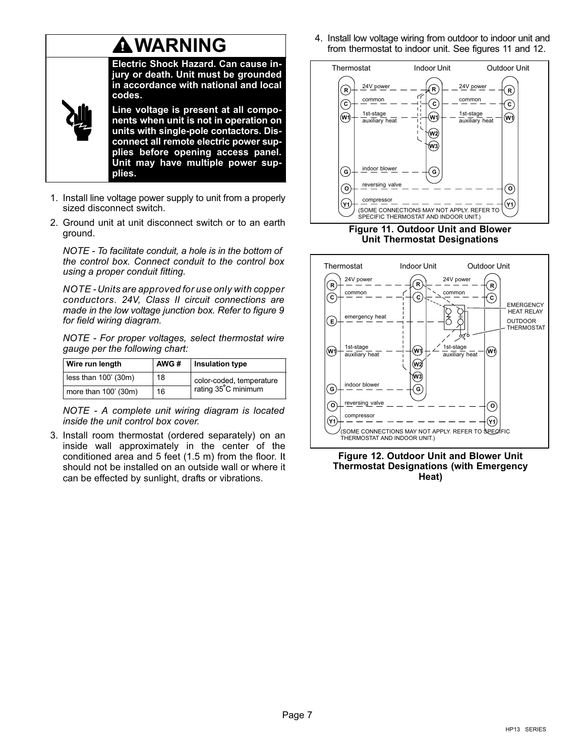## **A WARNING**

Electric Shock Hazard. Can cause injury or death. Unit must be grounded in accordance with national and local codes.

Line voltage is present at all components when unit is not in operation on units with single-pole contactors. Disconnect all remote electric power supplies before opening access panel. Unit may have multiple power supplies.

- 1. Install line voltage power supply to unit from a properly sized disconnect switch.
- 2. Ground unit at unit disconnect switch or to an earth ground.

NOTE − To facilitate conduit, a hole is in the bottom of the control box. Connect conduit to the control box using a proper conduit fitting.

NOTE − Units are approved for use only with copper conductors. 24V, Class II circuit connections are made in the low voltage junction box. Refer to figure [9](#page-5-0) for field wiring diagram.

NOTE − For proper voltages, select thermostat wire gauge per the following chart:

| Wire run length      | AWG# | <b>Insulation type</b>   |
|----------------------|------|--------------------------|
| less than 100' (30m) | 18   | color-coded, temperature |
| more than 100' (30m) | 16   | rating 35°C minimum      |

NOTE − A complete unit wiring diagram is located inside the unit control box cover.

3. Install room thermostat (ordered separately) on an inside wall approximately in the center of the conditioned area and 5 feet (1.5 m) from the floor. It should not be installed on an outside wall or where it can be effected by sunlight, drafts or vibrations.

4. Install low voltage wiring from outdoor to indoor unit and from thermostat to indoor unit. See figures 11 and 12.



Figure 11. Outdoor Unit and Blower Unit Thermostat Designations



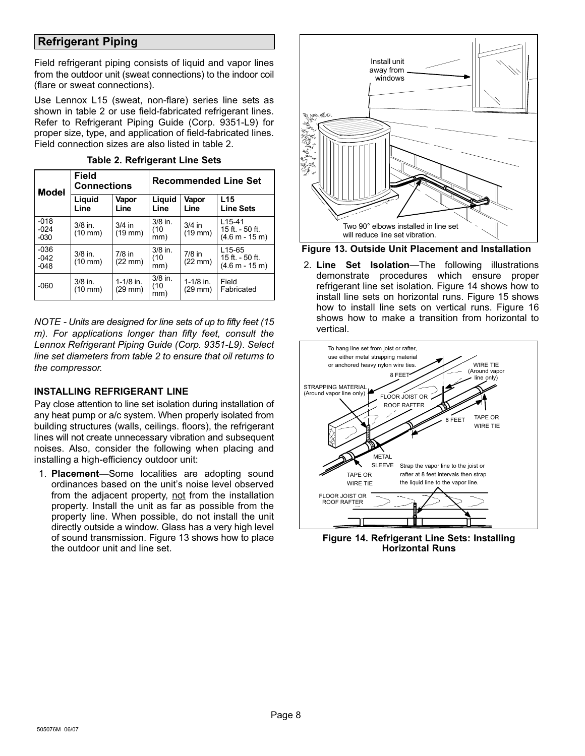### <span id="page-7-0"></span>Refrigerant Piping

Field refrigerant piping consists of liquid and vapor lines from the outdoor unit (sweat connections) to the indoor coil (flare or sweat connections).

Use Lennox L15 (sweat, non-flare) series line sets as shown in table 2 or use field-fabricated refrigerant lines. Refer to Refrigerant Piping Guide (Corp. 9351−L9) for proper size, type, and application of field−fabricated lines. Field connection sizes are also listed in table 2.

| Model                      | <b>Field</b><br><b>Connections</b> |                       | <b>Recommended Line Set</b> |                               |                                                  |  |
|----------------------------|------------------------------------|-----------------------|-----------------------------|-------------------------------|--------------------------------------------------|--|
|                            | Liquid<br>Line                     | Vapor<br>Line         | Liquid<br>Line              | Vapor<br>Line                 | L15<br><b>Line Sets</b>                          |  |
| $-018$<br>$-024$<br>$-030$ | $3/8$ in.<br>$(10 \text{ mm})$     | $3/4$ in<br>$(19$ mm) | $3/8$ in.<br>(10<br>mm)     | $3/4$ in<br>$(19$ mm $)$      | $L15 - 41$<br>15 ft. $-50$ ft.<br>(4.6 m - 15 m) |  |
| $-036$<br>$-042$<br>$-048$ | $3/8$ in.<br>$(10 \text{ mm})$     | $7/8$ in<br>(22 mm)   | $3/8$ in.<br>(10<br>mm)     | $7/8$ in<br>$(22 \text{ mm})$ | $L15-65$<br>15 ft. - 50 ft.<br>$(4.6 m - 15 m)$  |  |
| $-060$                     | $3/8$ in.<br>$(10 \text{ mm})$     | 1-1/8 in.<br>(29 mm)  | $3/8$ in.<br>(10<br>mm)     | $1 - 1/8$ in.<br>$(29$ mm $)$ | Field<br>Fabricated                              |  |

Table 2. Refrigerant Line Sets

NOTE − Units are designed for line sets of up to fifty feet (15 m). For applications longer than fifty feet, consult the Lennox Refrigerant Piping Guide (Corp. 9351−L9). Select line set diameters from table 2 to ensure that oil returns to the compressor.

### INSTALLING REFRIGERANT LINE

Pay close attention to line set isolation during installation of any heat pump or a/c system. When properly isolated from building structures (walls, ceilings. floors), the refrigerant lines will not create unnecessary vibration and subsequent noises. Also, consider the following when placing and installing a high−efficiency outdoor unit:

1. Placement-Some localities are adopting sound ordinances based on the unit's noise level observed from the adjacent property, not from the installation property. Install the unit as far as possible from the property line. When possible, do not install the unit directly outside a window. Glass has a very high level of sound transmission. Figure 13 shows how to place the outdoor unit and line set.



Figure 13. Outside Unit Placement and Installation

2. Line Set Isolation-The following illustrations demonstrate procedures which ensure proper refrigerant line set isolation. Figure 14 shows how to install line sets on horizontal runs. Figure [15](#page-8-0) shows how to install line sets on vertical runs. Figure [16](#page-8-0) shows how to make a transition from horizontal to vertical.



Figure 14. Refrigerant Line Sets: Installing Horizontal Runs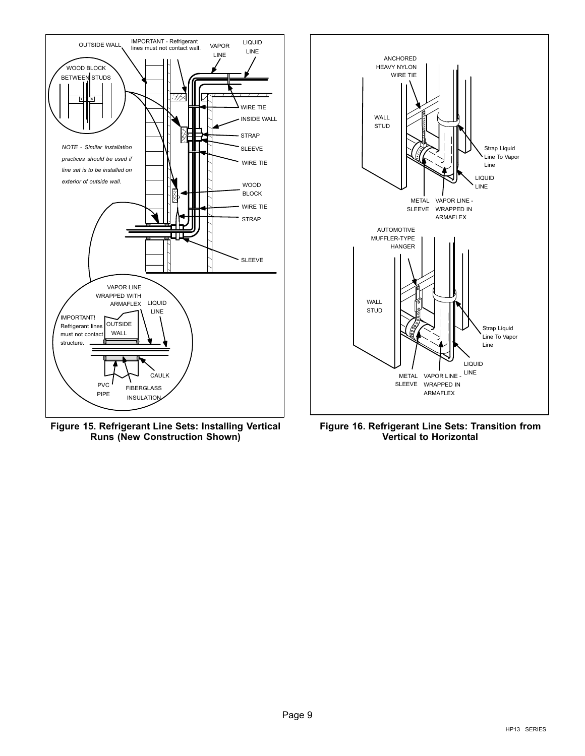<span id="page-8-0"></span>

Figure 15. Refrigerant Line Sets: Installing Vertical Runs (New Construction Shown)



Figure 16. Refrigerant Line Sets: Transition from Vertical to Horizontal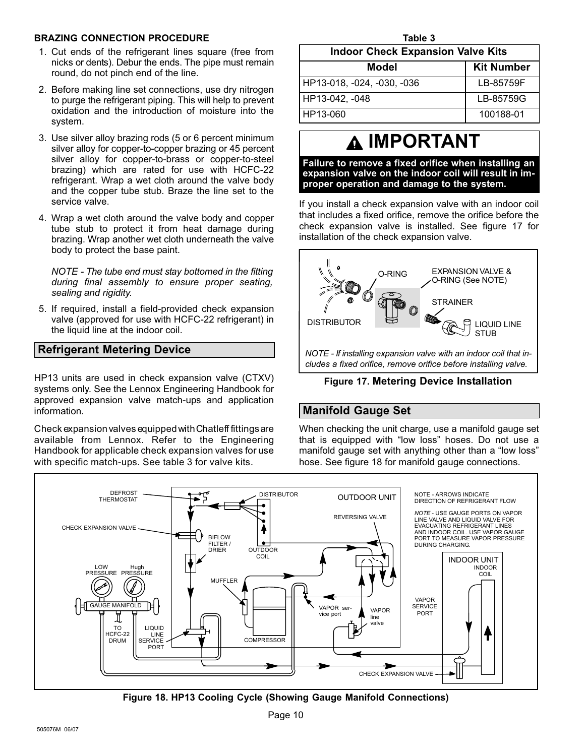#### <span id="page-9-0"></span>BRAZING CONNECTION PROCEDURE

- 1. Cut ends of the refrigerant lines square (free from nicks or dents). Debur the ends. The pipe must remain round, do not pinch end of the line.
- 2. Before making line set connections, use dry nitrogen to purge the refrigerant piping. This will help to prevent oxidation and the introduction of moisture into the system.
- 3. Use silver alloy brazing rods (5 or 6 percent minimum silver alloy for copper−to−copper brazing or 45 percent silver alloy for copper−to−brass or copper−to−steel brazing) which are rated for use with HCFC−22 refrigerant. Wrap a wet cloth around the valve body and the copper tube stub. Braze the line set to the service valve.
- 4. Wrap a wet cloth around the valve body and copper tube stub to protect it from heat damage during brazing. Wrap another wet cloth underneath the valve body to protect the base paint.

NOTE − The tube end must stay bottomed in the fitting during final assembly to ensure proper seating, sealing and rigidity.

5. If required, install a field−provided check expansion valve (approved for use with HCFC−22 refrigerant) in the liquid line at the indoor coil.

### Refrigerant Metering Device

HP13 units are used in check expansion valve (CTXV) systems only. See the Lennox Engineering Handbook for approved expansion valve match-ups and application information.

Check expansion valves equipped with Chatleff fittings are available from Lennox. Refer to the Engineering Handbook for applicable check expansion valves for use with specific match-ups. See table 3 for valve kits.

| Table 3                                  |                   |  |  |  |  |
|------------------------------------------|-------------------|--|--|--|--|
| <b>Indoor Check Expansion Valve Kits</b> |                   |  |  |  |  |
| Model                                    | <b>Kit Number</b> |  |  |  |  |
| HP13-018, -024, -030, -036               | LB-85759F         |  |  |  |  |
| HP13-042, -048                           | LB-85759G         |  |  |  |  |
| HP13-060                                 | 100188-01         |  |  |  |  |

## IMPORTANT

Failure to remove a fixed orifice when installing an expansion valve on the indoor coil will result in improper operation and damage to the system.

If you install a check expansion valve with an indoor coil that includes a fixed orifice, remove the orifice before the check expansion valve is installed. See figure 17 for installation of the check expansion valve.



Figure 17. Metering Device Installation

### Manifold Gauge Set

When checking the unit charge, use a manifold gauge set that is equipped with "low loss" hoses. Do not use a manifold gauge set with anything other than a "low loss" hose. See figure 18 for manifold gauge connections.



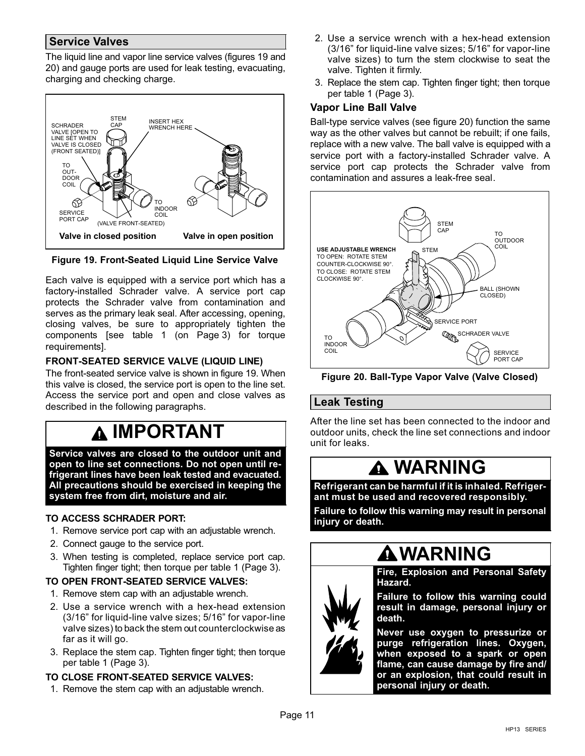### <span id="page-10-0"></span>Service Valves

The liquid line and vapor line service valves (figures 19 and 20) and gauge ports are used for leak testing, evacuating, charging and checking charge.



Figure 19. Front-Seated Liquid Line Service Valve

Each valve is equipped with a service port which has a factory−installed Schrader valve. A service port cap protects the Schrader valve from contamination and serves as the primary leak seal. After accessing, opening, closing valves, be sure to appropriately tighten the components [see table [1](#page-2-0) (on [Page 3\)](#page-2-0) for torque requirements].

### FRONT-SEATED SERVICE VALVE (LIQUID LINE)

The front-seated service valve is shown in figure 19. When this valve is closed, the service port is open to the line set. Access the service port and open and close valves as described in the following paragraphs.

### **A IMPORTANT**

Service valves are closed to the outdoor unit and open to line set connections. Do not open until refrigerant lines have been leak tested and evacuated. All precautions should be exercised in keeping the system free from dirt, moisture and air.

### TO ACCESS SCHRADER PORT:

- 1. Remove service port cap with an adjustable wrench.
- 2. Connect gauge to the service port.
- 3. When testing is completed, replace service port cap. Tighten finger tight; then torque per table [1](#page-2-0) [\(Page 3\)](#page-2-0).

### TO OPEN FRONT-SEATED SERVICE VALVES:

- 1. Remove stem cap with an adjustable wrench.
- 2. Use a service wrench with a hex−head extension (3/16" for liquid-line valve sizes; 5/16" for vapor-line valve sizes) to back the stem out counterclockwise as far as it will go.
- 3. Replace the stem cap. Tighten finger tight; then torque per table [1 \(Page 3\)](#page-2-0).

### TO CLOSE FRONT-SEATED SERVICE VALVES:

1. Remove the stem cap with an adjustable wrench.

- 2. Use a service wrench with a hex−head extension (3/16" for liquid-line valve sizes; 5/16" for vapor-line valve sizes) to turn the stem clockwise to seat the valve. Tighten it firmly.
- 3. Replace the stem cap. Tighten finger tight; then torque per table [1](#page-2-0) [\(Page 3\)](#page-2-0).

### Vapor Line Ball Valve

Ball-type service valves (see figure 20) function the same way as the other valves but cannot be rebuilt; if one fails, replace with a new valve. The ball valve is equipped with a service port with a factory−installed Schrader valve. A service port cap protects the Schrader valve from contamination and assures a leak−free seal.



Figure 20. Ball−Type Vapor Valve (Valve Closed)

### Leak Testing

After the line set has been connected to the indoor and outdoor units, check the line set connections and indoor unit for leaks.

### WARNING

Refrigerant can be harmful if it is inhaled. Refrigerant must be used and recovered responsibly.

Failure to follow this warning may result in personal injury or death.

### **AWARNING**



Fire, Explosion and Personal Safety Hazard.

Failure to follow this warning could result in damage, personal injury or death.

Never use oxygen to pressurize or purge refrigeration lines. Oxygen, when exposed to a spark or open flame, can cause damage by fire and/ or an explosion, that could result in personal injury or death.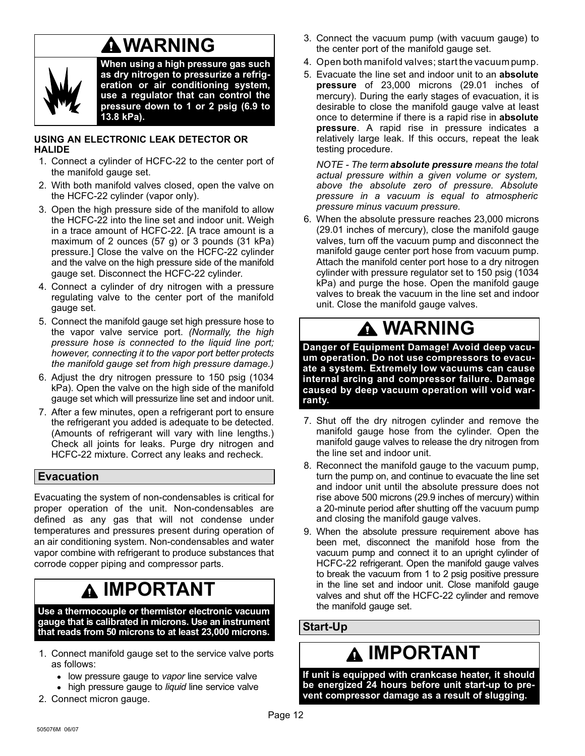## WARNING

<span id="page-11-0"></span>

When using a high pressure gas such as dry nitrogen to pressurize a refrigeration or air conditioning system, use a regulator that can control the pressure down to 1 or 2 psig (6.9 to 13.8 kPa).

### USING AN ELECTRONIC LEAK DETECTOR OR HALIDE

- 1. Connect a cylinder of HCFC−22 to the center port of the manifold gauge set.
- 2. With both manifold valves closed, open the valve on the HCFC−22 cylinder (vapor only).
- 3. Open the high pressure side of the manifold to allow the HCFC−22 into the line set and indoor unit. Weigh in a trace amount of HCFC−22. [A trace amount is a maximum of 2 ounces (57 g) or 3 pounds (31 kPa) pressure.] Close the valve on the HCFC−22 cylinder and the valve on the high pressure side of the manifold gauge set. Disconnect the HCFC−22 cylinder.
- 4. Connect a cylinder of dry nitrogen with a pressure regulating valve to the center port of the manifold gauge set.
- 5. Connect the manifold gauge set high pressure hose to the vapor valve service port. (Normally, the high pressure hose is connected to the liquid line port; however, connecting it to the vapor port better protects the manifold gauge set from high pressure damage.)
- 6. Adjust the dry nitrogen pressure to 150 psig (1034 kPa). Open the valve on the high side of the manifold gauge set which will pressurize line set and indoor unit.
- 7. After a few minutes, open a refrigerant port to ensure the refrigerant you added is adequate to be detected. (Amounts of refrigerant will vary with line lengths.) Check all joints for leaks. Purge dry nitrogen and HCFC−22 mixture. Correct any leaks and recheck.

### Evacuation

Evacuating the system of non−condensables is critical for proper operation of the unit. Non−condensables are defined as any gas that will not condense under temperatures and pressures present during operation of an air conditioning system. Non−condensables and water vapor combine with refrigerant to produce substances that corrode copper piping and compressor parts.

### IMPORTANT

Use a thermocouple or thermistor electronic vacuum gauge that is calibrated in microns. Use an instrument that reads from 50 microns to at least 23,000 microns.

- 1. Connect manifold gauge set to the service valve ports as follows:
	- low pressure gauge to vapor line service valve
	- high pressure gauge to liquid line service valve
- 2. Connect micron gauge.
- 3. Connect the vacuum pump (with vacuum gauge) to the center port of the manifold gauge set.
- 4. Open both manifold valves; start the vacuum pump.
- 5. Evacuate the line set and indoor unit to an absolute pressure of 23,000 microns (29.01 inches of mercury). During the early stages of evacuation, it is desirable to close the manifold gauge valve at least once to determine if there is a rapid rise in absolute pressure. A rapid rise in pressure indicates a relatively large leak. If this occurs, repeat the leak testing procedure.

NOTE - The term absolute pressure means the total actual pressure within a given volume or system, above the absolute zero of pressure. Absolute pressure in a vacuum is equal to atmospheric pressure minus vacuum pressure.

6. When the absolute pressure reaches 23,000 microns (29.01 inches of mercury), close the manifold gauge valves, turn off the vacuum pump and disconnect the manifold gauge center port hose from vacuum pump. Attach the manifold center port hose to a dry nitrogen cylinder with pressure regulator set to 150 psig (1034 kPa) and purge the hose. Open the manifold gauge valves to break the vacuum in the line set and indoor unit. Close the manifold gauge valves.

## WARNING

Danger of Equipment Damage! Avoid deep vacuum operation. Do not use compressors to evacuate a system. Extremely low vacuums can cause internal arcing and compressor failure. Damage caused by deep vacuum operation will void warranty.

- 7. Shut off the dry nitrogen cylinder and remove the manifold gauge hose from the cylinder. Open the manifold gauge valves to release the dry nitrogen from the line set and indoor unit.
- 8. Reconnect the manifold gauge to the vacuum pump, turn the pump on, and continue to evacuate the line set and indoor unit until the absolute pressure does not rise above 500 microns (29.9 inches of mercury) within a 20−minute period after shutting off the vacuum pump and closing the manifold gauge valves.
- 9. When the absolute pressure requirement above has been met, disconnect the manifold hose from the vacuum pump and connect it to an upright cylinder of HCFC−22 refrigerant. Open the manifold gauge valves to break the vacuum from 1 to 2 psig positive pressure in the line set and indoor unit. Close manifold gauge valves and shut off the HCFC−22 cylinder and remove the manifold gauge set.

### Start−Up

## **A IMPORTANT**

If unit is equipped with crankcase heater, it should be energized 24 hours before unit start−up to prevent compressor damage as a result of slugging.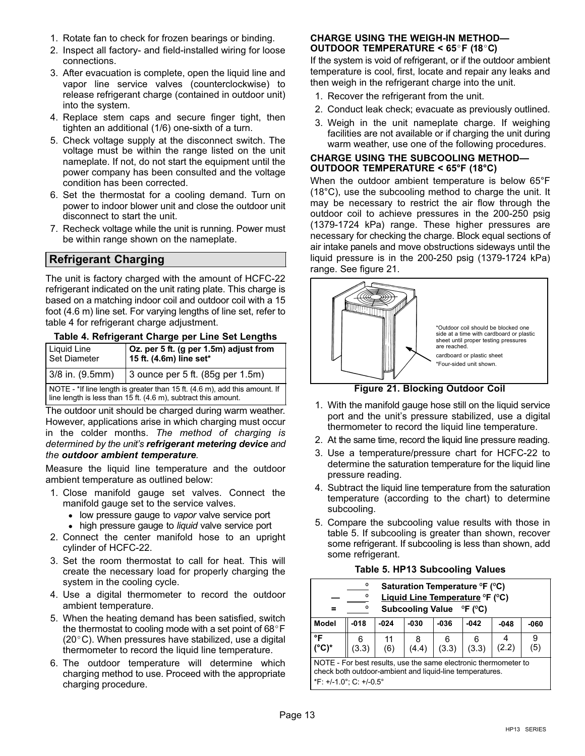- <span id="page-12-0"></span>1. Rotate fan to check for frozen bearings or binding.
- 2. Inspect all factory− and field-installed wiring for loose connections.
- 3. After evacuation is complete, open the liquid line and vapor line service valves (counterclockwise) to release refrigerant charge (contained in outdoor unit) into the system.
- 4. Replace stem caps and secure finger tight, then tighten an additional (1/6) one-sixth of a turn.
- 5. Check voltage supply at the disconnect switch. The voltage must be within the range listed on the unit nameplate. If not, do not start the equipment until the power company has been consulted and the voltage condition has been corrected.
- 6. Set the thermostat for a cooling demand. Turn on power to indoor blower unit and close the outdoor unit disconnect to start the unit.
- 7. Recheck voltage while the unit is running. Power must be within range shown on the nameplate.

### Refrigerant Charging

The unit is factory charged with the amount of HCFC−22 refrigerant indicated on the unit rating plate. This charge is based on a matching indoor coil and outdoor coil with a 15 foot (4.6 m) line set. For varying lengths of line set, refer to table 4 for refrigerant charge adjustment.

| Table 4. Refrigerant Charge per Line Set Lengths |  |  |
|--------------------------------------------------|--|--|
|--------------------------------------------------|--|--|

| <b>Liquid Line</b><br>Set Diameter                                                                                                           | Oz. per 5 ft. (g per 1.5m) adjust from<br>15 ft. (4.6m) line set* |  |  |  |  |
|----------------------------------------------------------------------------------------------------------------------------------------------|-------------------------------------------------------------------|--|--|--|--|
| 3/8 in. (9.5mm)                                                                                                                              | 3 ounce per 5 ft. (85g per 1.5m)                                  |  |  |  |  |
| NOTE - *If line length is greater than 15 ft. (4.6 m), add this amount. If<br>line length is less than 15 ft. (4.6 m), subtract this amount. |                                                                   |  |  |  |  |

The outdoor unit should be charged during warm weather. However, applications arise in which charging must occur in the colder months. The method of charging is determined by the unit's refrigerant metering device and the outdoor ambient temperature.

Measure the liquid line temperature and the outdoor ambient temperature as outlined below:

- 1. Close manifold gauge set valves. Connect the manifold gauge set to the service valves.
	- low pressure gauge to vapor valve service port
	- high pressure gauge to *liquid* valve service port
- 2. Connect the center manifold hose to an upright cylinder of HCFC−22.
- 3. Set the room thermostat to call for heat. This will create the necessary load for properly charging the system in the cooling cycle.
- 4. Use a digital thermometer to record the outdoor ambient temperature.
- 5. When the heating demand has been satisfied, switch the thermostat to cooling mode with a set point of  $68^{\circ}$ F  $(20^{\circ}C)$ . When pressures have stabilized, use a digital thermometer to record the liquid line temperature.
- 6. The outdoor temperature will determine which charging method to use. Proceed with the appropriate charging procedure.

### CHARGE USING THE WEIGH−IN METHOD-OUTDOOR TEMPERATURE <  $65^{\circ}$ F (18 $^{\circ}$ C)

If the system is void of refrigerant, or if the outdoor ambient temperature is cool, first, locate and repair any leaks and then weigh in the refrigerant charge into the unit.

- 1. Recover the refrigerant from the unit.
- 2. Conduct leak check; evacuate as previously outlined.
- 3. Weigh in the unit nameplate charge. If weighing facilities are not available or if charging the unit during warm weather, use one of the following procedures.

#### CHARGE USING THE SUBCOOLING METHOD— OUTDOOR TEMPERATURE < 65°F (18°C)

When the outdoor ambient temperature is below 65°F (18°C), use the subcooling method to charge the unit. It may be necessary to restrict the air flow through the outdoor coil to achieve pressures in the 200−250 psig (1379−1724 kPa) range. These higher pressures are necessary for checking the charge. Block equal sections of air intake panels and move obstructions sideways until the liquid pressure is in the 200−250 psig (1379−1724 kPa) range. See figure 21.



Figure 21. Blocking Outdoor Coil

- 1. With the manifold gauge hose still on the liquid service port and the unit's pressure stabilized, use a digital thermometer to record the liquid line temperature.
- 2. At the same time, record the liquid line pressure reading.
- 3. Use a temperature/pressure chart for HCFC−22 to determine the saturation temperature for the liquid line pressure reading.
- 4. Subtract the liquid line temperature from the saturation temperature (according to the chart) to determine subcooling.
- 5. Compare the subcooling value results with those in table 5. If subcooling is greater than shown, recover some refrigerant. If subcooling is less than shown, add some refrigerant.

#### Table 5. HP13 Subcooling Values

|                                                                                                                                                        | o<br>Saturation Temperature °F (°C)<br>Liquid Line Temperature °F (°C)<br>ο<br>Subcooling Value <sup>o</sup> F (°C)<br>Ω |           |        |            |        |        |      |
|--------------------------------------------------------------------------------------------------------------------------------------------------------|--------------------------------------------------------------------------------------------------------------------------|-----------|--------|------------|--------|--------|------|
| <b>Model</b>                                                                                                                                           | $-018$                                                                                                                   | $-024$    | $-030$ | $-036$     | $-042$ | $-048$ | -060 |
| °F<br>$(^{\circ}C)^{*}$                                                                                                                                | (3.3)                                                                                                                    | 11<br>(6) | (4.4)  | 6<br>(3.3) | (3.3)  | (2.2)  | (5)  |
| NOTE - For best results, use the same electronic thermometer to<br>check both outdoor-ambient and liquid-line temperatures.<br>*F: +/-1.0°; C: +/-0.5° |                                                                                                                          |           |        |            |        |        |      |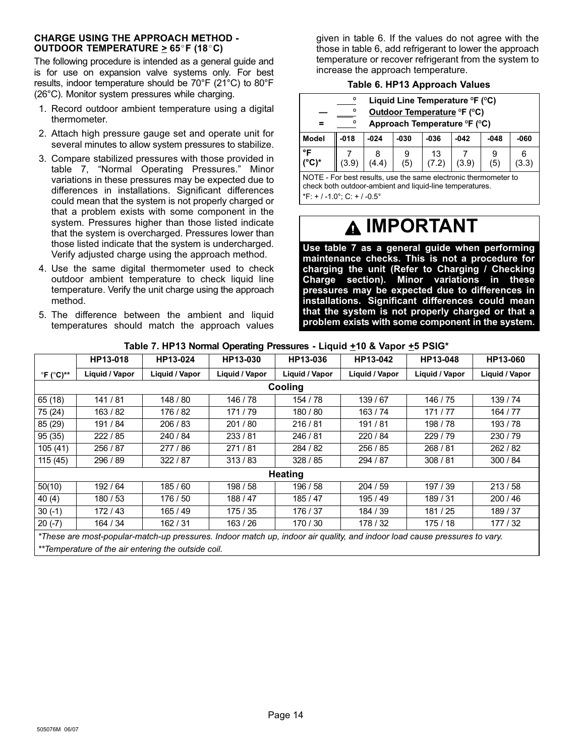#### CHARGE USING THE APPROACH METHOD − OUTDOOR TEMPERATURE  $\geq 65^{\circ}$ F (18 $^{\circ}$ C)

The following procedure is intended as a general guide and is for use on expansion valve systems only. For best results, indoor temperature should be 70°F (21°C) to 80°F (26°C). Monitor system pressures while charging.

- 1. Record outdoor ambient temperature using a digital thermometer.
- 2. Attach high pressure gauge set and operate unit for several minutes to allow system pressures to stabilize.
- 3. Compare stabilized pressures with those provided in table 7, "Normal Operating Pressures." Minor variations in these pressures may be expected due to differences in installations. Significant differences could mean that the system is not properly charged or that a problem exists with some component in the system. Pressures higher than those listed indicate that the system is overcharged. Pressures lower than those listed indicate that the system is undercharged. Verify adjusted charge using the approach method.
- 4. Use the same digital thermometer used to check outdoor ambient temperature to check liquid line temperature. Verify the unit charge using the approach method.
- 5. The difference between the ambient and liquid temperatures should match the approach values

given in table 6. If the values do not agree with the those in table 6, add refrigerant to lower the approach temperature or recover refrigerant from the system to increase the approach temperature.

### Table 6. HP13 Approach Values

|              | $\Omega$<br>Ω<br>о | Liquid Line Temperature ${}^{\circ}$ F ( ${}^{\circ}$ C)<br>Outdoor Temperature °F (°C)<br>Approach Temperature °F (°C) |      |            |        |        |        |
|--------------|--------------------|-------------------------------------------------------------------------------------------------------------------------|------|------------|--------|--------|--------|
| <b>Model</b> | $-018$             | $-024$                                                                                                                  | -030 | $-036$     | $-042$ | $-048$ | $-060$ |
| °F           | 3.9                | (4.4)                                                                                                                   | (5)  | 13<br>7.2) | (3.9)  | (5)    | 3.3    |

NOTE − For best results, use the same electronic thermometer to check both outdoor-ambient and liquid-line temperatures.

\*F: + / −1.0°; C: + / −0.5°

## IMPORTANT

Use table 7 as a general guide when performing maintenance checks. This is not a procedure for charging the unit (Refer to Charging / Checking Charge section). Minor variations in these pressures may be expected due to differences in installations. Significant differences could mean that the system is not properly charged or that a problem exists with some component in the system.

|                                  | HP13-018       | HP13-024       | HP13-030       | HP13-036       | HP13-042                                                                                                                  | HP13-048       | HP13-060       |  |  |  |
|----------------------------------|----------------|----------------|----------------|----------------|---------------------------------------------------------------------------------------------------------------------------|----------------|----------------|--|--|--|
| $\mathrm{P}F$ ( $\mathrm{C}$ )** | Liquid / Vapor | Liquid / Vapor | Liquid / Vapor | Liquid / Vapor | Liquid / Vapor                                                                                                            | Liquid / Vapor | Liquid / Vapor |  |  |  |
|                                  | Cooling        |                |                |                |                                                                                                                           |                |                |  |  |  |
| 65 (18)                          | 141 / 81       | 148 / 80       | 146 / 78       | 154 / 78       | 139 / 67                                                                                                                  | 146 / 75       | 139 / 74       |  |  |  |
| 75 (24)                          | 163/82         | 176 / 82       | 171/79         | 180 / 80       | 163 / 74                                                                                                                  | 171/77         | 164 / 77       |  |  |  |
| 85 (29)                          | 191 / 84       | 206/83         | 201 / 80       | 216/81         | 191/81                                                                                                                    | 198 / 78       | 193/78         |  |  |  |
| 95(35)                           | 222/85         | 240 / 84       | 233/81         | 246 / 81       | 220 / 84                                                                                                                  | 229/79         | 230/79         |  |  |  |
| 105(41)                          | 256 / 87       | 277 / 86       | 271/81         | 284 / 82       | 256 / 85                                                                                                                  | 268 / 81       | 262/82         |  |  |  |
| 115 (45)                         | 296 / 89       | 322/87         | 313/83         | 328 / 85       | 294 / 87                                                                                                                  | 308/81         | 300 / 84       |  |  |  |
|                                  |                |                |                | <b>Heating</b> |                                                                                                                           |                |                |  |  |  |
| 50(10)                           | 192 / 64       | 185/60         | 198 / 58       | 196 / 58       | 204/59                                                                                                                    | 197 / 39       | 213/58         |  |  |  |
| 40(4)                            | 180 / 53       | 176 / 50       | 188 / 47       | 185 / 47       | 195 / 49                                                                                                                  | 189 / 31       | 200/46         |  |  |  |
| $30(-1)$                         | 172/43         | 165/49         | 175 / 35       | 176 / 37       | 184 / 39                                                                                                                  | 181/25         | 189 / 37       |  |  |  |
| $20(-7)$                         | 164 / 34       | 162 / 31       | 163/26         | 170 / 30       | 178 / 32                                                                                                                  | 175 / 18       | 177 / 32       |  |  |  |
|                                  |                |                |                |                | *These are most-popular-match-up pressures. Indoor match up, indoor air quality, and indoor load cause pressures to vary. |                |                |  |  |  |

Table 7. HP13 Normal Operating Pressures - Liquid +10 & Vapor +5 PSIG<sup>\*</sup>

\*\*Temperature of the air entering the outside coil.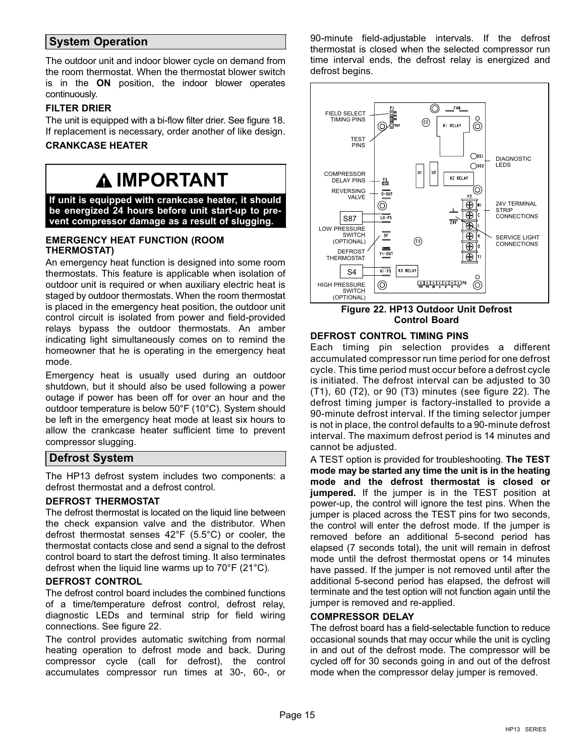### <span id="page-14-0"></span>System Operation

The outdoor unit and indoor blower cycle on demand from the room thermostat. When the thermostat blower switch is in the ON position, the indoor blower operates continuously.

### FILTER DRIER

The unit is equipped with a bi-flow filter drier. See figure [18.](#page-9-0) If replacement is necessary, order another of like design.

### CRANKCASE HEATER

### IMPORTANT

If unit is equipped with crankcase heater, it should be energized 24 hours before unit start−up to prevent compressor damage as a result of slugging.

### EMERGENCY HEAT FUNCTION (ROOM THERMOSTAT)

An emergency heat function is designed into some room thermostats. This feature is applicable when isolation of outdoor unit is required or when auxiliary electric heat is staged by outdoor thermostats. When the room thermostat is placed in the emergency heat position, the outdoor unit control circuit is isolated from power and field-provided relays bypass the outdoor thermostats. An amber indicating light simultaneously comes on to remind the homeowner that he is operating in the emergency heat mode.

Emergency heat is usually used during an outdoor shutdown, but it should also be used following a power outage if power has been off for over an hour and the outdoor temperature is below 50°F (10°C). System should be left in the emergency heat mode at least six hours to allow the crankcase heater sufficient time to prevent compressor slugging.

### Defrost System

The HP13 defrost system includes two components: a defrost thermostat and a defrost control.

#### DEFROST THERMOSTAT

The defrost thermostat is located on the liquid line between the check expansion valve and the distributor. When defrost thermostat senses 42°F (5.5°C) or cooler, the thermostat contacts close and send a signal to the defrost control board to start the defrost timing. It also terminates defrost when the liquid line warms up to 70°F (21°C).

### DEFROST CONTROL

The defrost control board includes the combined functions of a time/temperature defrost control, defrost relay, diagnostic LEDs and terminal strip for field wiring connections. See figure 22.

The control provides automatic switching from normal heating operation to defrost mode and back. During compressor cycle (call for defrost), the control accumulates compressor run times at 30-, 60-, or 90-minute field−adjustable intervals. If the defrost thermostat is closed when the selected compressor run time interval ends, the defrost relay is energized and defrost begins.



#### Figure 22. HP13 Outdoor Unit Defrost Control Board

### DEFROST CONTROL TIMING PINS

Each timing pin selection provides a different accumulated compressor run time period for one defrost cycle. This time period must occur before a defrost cycle is initiated. The defrost interval can be adjusted to 30 (T1), 60 (T2), or 90 (T3) minutes (see figure 22). The defrost timing jumper is factory−installed to provide a 90−minute defrost interval. If the timing selector jumper is not in place, the control defaults to a 90−minute defrost interval. The maximum defrost period is 14 minutes and cannot be adjusted.

A TEST option is provided for troubleshooting. The TEST mode may be started any time the unit is in the heating mode and the defrost thermostat is closed or jumpered. If the jumper is in the TEST position at power-up, the control will ignore the test pins. When the jumper is placed across the TEST pins for two seconds, the control will enter the defrost mode. If the jumper is removed before an additional 5−second period has elapsed (7 seconds total), the unit will remain in defrost mode until the defrost thermostat opens or 14 minutes have passed. If the jumper is not removed until after the additional 5−second period has elapsed, the defrost will terminate and the test option will not function again until the jumper is removed and re−applied.

### COMPRESSOR DELAY

The defrost board has a field−selectable function to reduce occasional sounds that may occur while the unit is cycling in and out of the defrost mode. The compressor will be cycled off for 30 seconds going in and out of the defrost mode when the compressor delay jumper is removed.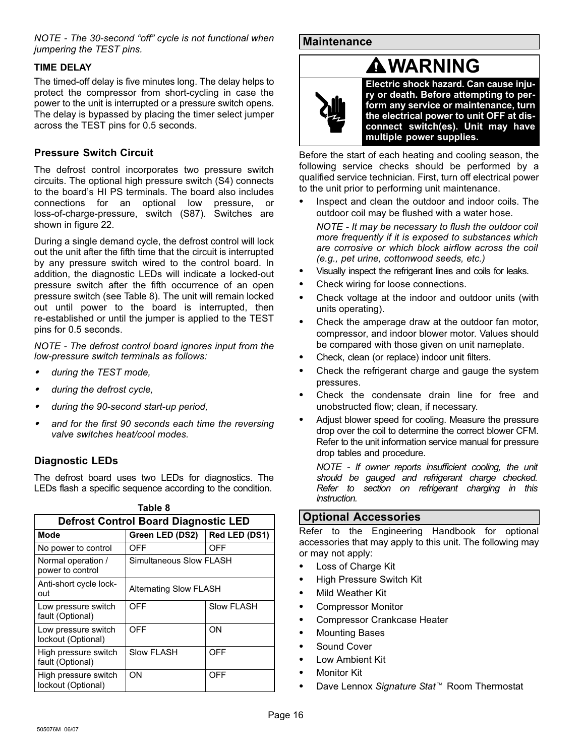<span id="page-15-0"></span>NOTE - The 30-second "off" cycle is not functional when jumpering the TEST pins.

### TIME DELAY

The timed-off delay is five minutes long. The delay helps to protect the compressor from short-cycling in case the power to the unit is interrupted or a pressure switch opens. The delay is bypassed by placing the timer select jumper across the TEST pins for 0.5 seconds.

### Pressure Switch Circuit

The defrost control incorporates two pressure switch circuits. The optional high pressure switch (S4) connects to the board's HI PS terminals. The board also includes connections for an optional low pressure, or loss-of-charge-pressure, switch (S87). Switches are shown in figure [22.](#page-14-0)

During a single demand cycle, the defrost control will lock out the unit after the fifth time that the circuit is interrupted by any pressure switch wired to the control board. In addition, the diagnostic LEDs will indicate a locked-out pressure switch after the fifth occurrence of an open pressure switch (see Table 8). The unit will remain locked out until power to the board is interrupted, then re-established or until the jumper is applied to the TEST pins for 0.5 seconds.

NOTE − The defrost control board ignores input from the low-pressure switch terminals as follows: -

- during the TEST mode,
- during the defrost cycle,
- during the 90-second start-up period,
- and for the first 90 seconds each time the reversing valve switches heat/cool modes.

### Diagnostic LEDs

The defrost board uses two LEDs for diagnostics. The LEDs flash a specific sequence according to the condition.

| <b>Defrost Control Board Diagnostic LED</b> |                         |               |  |  |  |  |  |
|---------------------------------------------|-------------------------|---------------|--|--|--|--|--|
| Mode                                        | Green LED (DS2)         | Red LED (DS1) |  |  |  |  |  |
| No power to control                         | OFF                     | OFF           |  |  |  |  |  |
| Normal operation /<br>power to control      | Simultaneous Slow FLASH |               |  |  |  |  |  |
| Anti-short cycle lock-<br>out               | Alternating Slow FLASH  |               |  |  |  |  |  |
| Low pressure switch<br>fault (Optional)     | OFF                     | Slow FLASH    |  |  |  |  |  |
| Low pressure switch<br>lockout (Optional)   | OFF                     | ON            |  |  |  |  |  |
| High pressure switch<br>fault (Optional)    | <b>Slow FLASH</b>       | OFF           |  |  |  |  |  |
| High pressure switch<br>lockout (Optional)  | ON                      | OFF           |  |  |  |  |  |

### **Maintenance**

### WARNING



Electric shock hazard. Can cause injury or death. Before attempting to perform any service or maintenance, turn the electrical power to unit OFF at disconnect switch(es). Unit may have multiple power supplies.

Before the start of each heating and cooling season, the following service checks should be performed by a qualified service technician. First, turn off electrical power to the unit prior to performing unit maintenance.

 Inspect and clean the outdoor and indoor coils. The outdoor coil may be flushed with a water hose.

NOTE − It may be necessary to flush the outdoor coil more frequently if it is exposed to substances which are corrosive or which block airflow across the coil (e.g., pet urine, cottonwood seeds, etc.)

- Visually inspect the refrigerant lines and coils for leaks.
- Check wiring for loose connections.
- Check voltage at the indoor and outdoor units (with units operating).
- Check the amperage draw at the outdoor fan motor, compressor, and indoor blower motor. Values should be compared with those given on unit nameplate.
- Check, clean (or replace) indoor unit filters.
- Check the refrigerant charge and gauge the system pressures.
- Check the condensate drain line for free and unobstructed flow; clean, if necessary.
- Adjust blower speed for cooling. Measure the pressure drop over the coil to determine the correct blower CFM. Refer to the unit information service manual for pressure drop tables and procedure.

NOTE − If owner reports insufficient cooling, the unit should be gauged and refrigerant charge checked. Refer to section on refrigerant charging in this instruction.

### Optional Accessories

Refer to the Engineering Handbook for optional accessories that may apply to this unit. The following may or may not apply:

- Loss of Charge Kit
- High Pressure Switch Kit
- Mild Weather Kit
- Compressor Monitor
- Compressor Crankcase Heater
- Mounting Bases
- Sound Cover
- Low Ambient Kit
- Monitor Kit
- Dave Lennox Signature Stat<sup>™</sup> Room Thermostat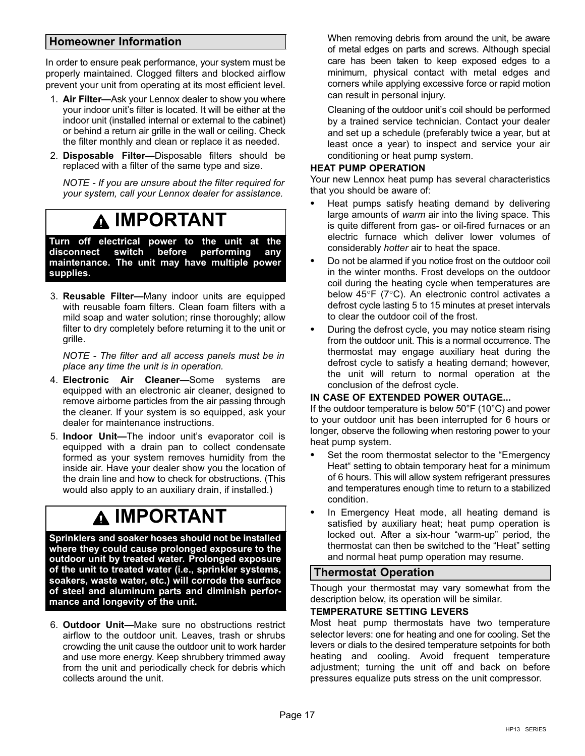### <span id="page-16-0"></span>Homeowner Information

In order to ensure peak performance, your system must be properly maintained. Clogged filters and blocked airflow prevent your unit from operating at its most efficient level.

- 1. Air Filter-Ask your Lennox dealer to show you where your indoor unit's filter is located. It will be either at the indoor unit (installed internal or external to the cabinet) or behind a return air grille in the wall or ceiling. Check the filter monthly and clean or replace it as needed.
- 2. Disposable Filter-Disposable filters should be replaced with a filter of the same type and size.

NOTE − If you are unsure about the filter required for your system, call your Lennox dealer for assistance.

### IMPORTANT

Turn off electrical power to the unit at the<br><u>disconnect </u> switch before performing any disconnect switch before performing maintenance. The unit may have multiple power supplies.

3. Reusable Filter—Many indoor units are equipped with reusable foam filters. Clean foam filters with a mild soap and water solution; rinse thoroughly; allow filter to dry completely before returning it to the unit or grille.

NOTE − The filter and all access panels must be in place any time the unit is in operation.

- 4. Electronic Air Cleaner—Some systems are equipped with an electronic air cleaner, designed to remove airborne particles from the air passing through the cleaner. If your system is so equipped, ask your dealer for maintenance instructions.
- 5. Indoor Unit—The indoor unit's evaporator coil is equipped with a drain pan to collect condensate formed as your system removes humidity from the inside air. Have your dealer show you the location of the drain line and how to check for obstructions. (This would also apply to an auxiliary drain, if installed.)

## IMPORTANT

Sprinklers and soaker hoses should not be installed where they could cause prolonged exposure to the outdoor unit by treated water. Prolonged exposure of the unit to treated water (i.e., sprinkler systems, soakers, waste water, etc.) will corrode the surface of steel and aluminum parts and diminish performance and longevity of the unit.

6. Outdoor Unit--Make sure no obstructions restrict airflow to the outdoor unit. Leaves, trash or shrubs crowding the unit cause the outdoor unit to work harder and use more energy. Keep shrubbery trimmed away from the unit and periodically check for debris which collects around the unit.

When removing debris from around the unit, be aware of metal edges on parts and screws. Although special care has been taken to keep exposed edges to a minimum, physical contact with metal edges and corners while applying excessive force or rapid motion can result in personal injury.

Cleaning of the outdoor unit's coil should be performed by a trained service technician. Contact your dealer and set up a schedule (preferably twice a year, but at least once a year) to inspect and service your air conditioning or heat pump system.

### HEAT PUMP OPERATION

Your new Lennox heat pump has several characteristics that you should be aware of:

- Heat pumps satisfy heating demand by delivering large amounts of warm air into the living space. This is quite different from gas- or oil-fired furnaces or an electric furnace which deliver lower volumes of considerably hotter air to heat the space.
- Do not be alarmed if you notice frost on the outdoor coil in the winter months. Frost develops on the outdoor coil during the heating cycle when temperatures are below 45°F (7°C). An electronic control activates a defrost cycle lasting 5 to 15 minutes at preset intervals to clear the outdoor coil of the frost.
- During the defrost cycle, you may notice steam rising from the outdoor unit. This is a normal occurrence. The thermostat may engage auxiliary heat during the defrost cycle to satisfy a heating demand; however, the unit will return to normal operation at the conclusion of the defrost cycle.

#### IN CASE OF EXTENDED POWER OUTAGE...

If the outdoor temperature is below 50°F (10°C) and power to your outdoor unit has been interrupted for 6 hours or longer, observe the following when restoring power to your heat pump system.

- Set the room thermostat selector to the "Emergency Heat" setting to obtain temporary heat for a minimum of 6 hours. This will allow system refrigerant pressures and temperatures enough time to return to a stabilized condition.
- In Emergency Heat mode, all heating demand is satisfied by auxiliary heat; heat pump operation is locked out. After a six-hour "warm-up" period, the thermostat can then be switched to the "Heat" setting and normal heat pump operation may resume.

### Thermostat Operation

Though your thermostat may vary somewhat from the description below, its operation will be similar.

#### TEMPERATURE SETTING LEVERS

Most heat pump thermostats have two temperature selector levers: one for heating and one for cooling. Set the levers or dials to the desired temperature setpoints for both heating and cooling. Avoid frequent temperature adjustment; turning the unit off and back on before pressures equalize puts stress on the unit compressor.